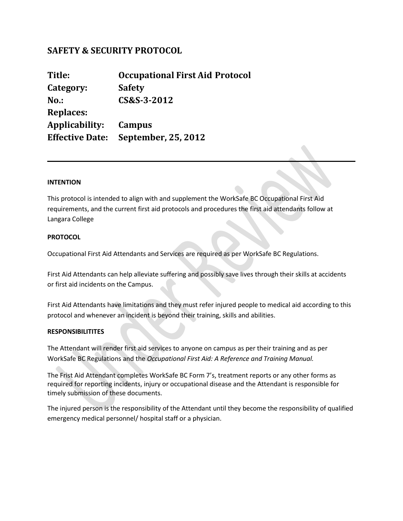# **SAFETY & SECURITY PROTOCOL**

| Title:                 | <b>Occupational First Aid Protocol</b> |
|------------------------|----------------------------------------|
| Category:              | <b>Safety</b>                          |
| <b>No.:</b>            | CS&S-3-2012                            |
| <b>Replaces:</b>       |                                        |
| Applicability:         | <b>Campus</b>                          |
| <b>Effective Date:</b> | September, 25, 2012                    |

## **INTENTION**

This protocol is intended to align with and supplement the WorkSafe BC Occupational First Aid requirements, and the current first aid protocols and procedures the first aid attendants follow at Langara College

### **PROTOCOL**

Occupational First Aid Attendants and Services are required as per WorkSafe BC Regulations.

First Aid Attendants can help alleviate suffering and possibly save lives through their skills at accidents or first aid incidents on the Campus.

First Aid Attendants have limitations and they must refer injured people to medical aid according to this protocol and whenever an incident is beyond their training, skills and abilities.

### **RESPONSIBILITITES**

The Attendant will render first aid services to anyone on campus as per their training and as per WorkSafe BC Regulations and the *Occupational First Aid: A Reference and Training Manual.*

The Frist Aid Attendant completes WorkSafe BC Form 7's, treatment reports or any other forms as required for reporting incidents, injury or occupational disease and the Attendant is responsible for timely submission of these documents.

The injured person is the responsibility of the Attendant until they become the responsibility of qualified emergency medical personnel/ hospital staff or a physician.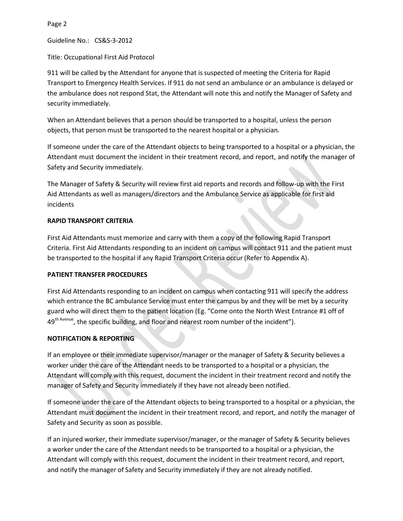Guideline No.: CS&S-3-2012

Title: Occupational First Aid Protocol

911 will be called by the Attendant for anyone that is suspected of meeting the Criteria for Rapid Transport to Emergency Health Services. If 911 do not send an ambulance or an ambulance is delayed or the ambulance does not respond Stat, the Attendant will note this and notify the Manager of Safety and security immediately.

When an Attendant believes that a person should be transported to a hospital, unless the person objects, that person must be transported to the nearest hospital or a physician.

If someone under the care of the Attendant objects to being transported to a hospital or a physician, the Attendant must document the incident in their treatment record, and report, and notify the manager of Safety and Security immediately.

The Manager of Safety & Security will review first aid reports and records and follow-up with the First Aid Attendants as well as managers/directors and the Ambulance Service as applicable for first aid incidents

# **RAPID TRANSPORT CRITERIA**

First Aid Attendants must memorize and carry with them a copy of the following Rapid Transport Criteria. First Aid Attendants responding to an incident on campus will contact 911 and the patient must be transported to the hospital if any Rapid Transport Criteria occur (Refer to Appendix A).

## **PATIENT TRANSFER PROCEDURES**

First Aid Attendants responding to an incident on campus when contacting 911 will specify the address which entrance the BC ambulance Service must enter the campus by and they will be met by a security guard who will direct them to the patient location (Eg. "Come onto the North West Entrance #1 off of 49<sup>th Avenue</sup>, the specific building, and floor and nearest room number of the incident").

# **NOTIFICATION & REPORTING**

If an employee or their immediate supervisor/manager or the manager of Safety & Security believes a worker under the care of the Attendant needs to be transported to a hospital or a physician, the Attendant will comply with this request, document the incident in their treatment record and notify the manager of Safety and Security immediately if they have not already been notified.

If someone under the care of the Attendant objects to being transported to a hospital or a physician, the Attendant must document the incident in their treatment record, and report, and notify the manager of Safety and Security as soon as possible.

If an injured worker, their immediate supervisor/manager, or the manager of Safety & Security believes a worker under the care of the Attendant needs to be transported to a hospital or a physician, the Attendant will comply with this request, document the incident in their treatment record, and report, and notify the manager of Safety and Security immediately if they are not already notified.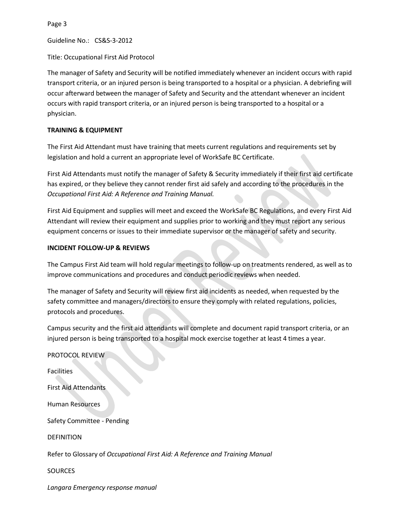Guideline No.: CS&S-3-2012

# Title: Occupational First Aid Protocol

The manager of Safety and Security will be notified immediately whenever an incident occurs with rapid transport criteria, or an injured person is being transported to a hospital or a physician. A debriefing will occur afterward between the manager of Safety and Security and the attendant whenever an incident occurs with rapid transport criteria, or an injured person is being transported to a hospital or a physician.

# **TRAINING & EQUIPMENT**

The First Aid Attendant must have training that meets current regulations and requirements set by legislation and hold a current an appropriate level of WorkSafe BC Certificate.

First Aid Attendants must notify the manager of Safety & Security immediately if their first aid certificate has expired, or they believe they cannot render first aid safely and according to the procedures in the *Occupational First Aid: A Reference and Training Manual.*

First Aid Equipment and supplies will meet and exceed the WorkSafe BC Regulations, and every First Aid Attendant will review their equipment and supplies prior to working and they must report any serious equipment concerns or issues to their immediate supervisor or the manager of safety and security.

# **INCIDENT FOLLOW-UP & REVIEWS**

The Campus First Aid team will hold regular meetings to follow-up on treatments rendered, as well as to improve communications and procedures and conduct periodic reviews when needed.

The manager of Safety and Security will review first aid incidents as needed, when requested by the safety committee and managers/directors to ensure they comply with related regulations, policies, protocols and procedures.

Campus security and the first aid attendants will complete and document rapid transport criteria, or an injured person is being transported to a hospital mock exercise together at least 4 times a year.

| PROTOCOL REVIEW                                                              |
|------------------------------------------------------------------------------|
| <b>Facilities</b>                                                            |
| <b>First Aid Attendants</b>                                                  |
| <b>Human Resources</b>                                                       |
| Safety Committee - Pending                                                   |
| <b>DEFINITION</b>                                                            |
| Refer to Glossary of Occupational First Aid: A Reference and Training Manual |
| <b>SOURCES</b>                                                               |
| Langara Emergency response manual                                            |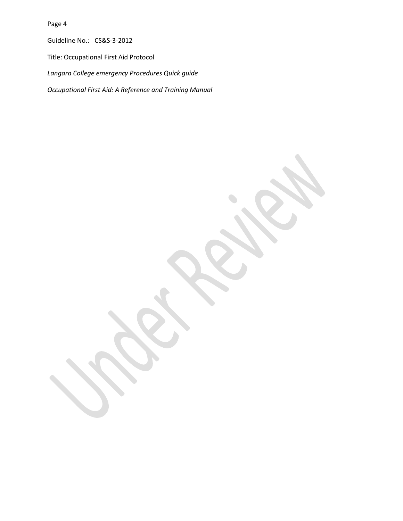Guideline No.: CS&S-3-2012

Title: Occupational First Aid Protocol

*Langara College emergency Procedures Quick guide* 

*Occupational First Aid: A Reference and Training Manual*